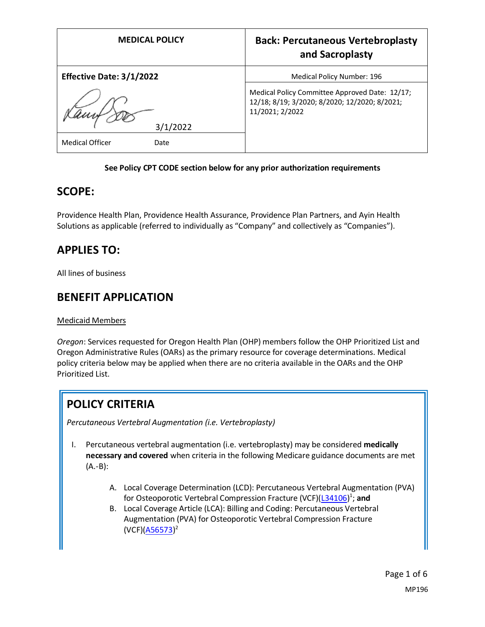| <b>MEDICAL POLICY</b>           | <b>Back: Percutaneous Vertebroplasty</b><br>and Sacroplasty                                                        |
|---------------------------------|--------------------------------------------------------------------------------------------------------------------|
| <b>Effective Date: 3/1/2022</b> | Medical Policy Number: 196                                                                                         |
| 3/1/2022                        | Medical Policy Committee Approved Date: 12/17;<br>12/18; 8/19; 3/2020; 8/2020; 12/2020; 8/2021;<br>11/2021; 2/2022 |
| <b>Medical Officer</b><br>Date  |                                                                                                                    |

#### **See Policy CPT CODE section below for any prior authorization requirements**

### **SCOPE:**

Providence Health Plan, Providence Health Assurance, Providence Plan Partners, and Ayin Health Solutions as applicable (referred to individually as "Company" and collectively as "Companies").

# **APPLIES TO:**

All lines of business

## **BENEFIT APPLICATION**

#### Medicaid Members

*Oregon*: Services requested for Oregon Health Plan (OHP) members follow the OHP Prioritized List and Oregon Administrative Rules (OARs) as the primary resource for coverage determinations. Medical policy criteria below may be applied when there are no criteria available in the OARs and the OHP Prioritized List.

# **POLICY CRITERIA**

*Percutaneous Vertebral Augmentation (i.e. Vertebroplasty)*

- I. Percutaneous vertebral augmentation (i.e. vertebroplasty) may be considered **medically necessary and covered** when criteria in the following Medicare guidance documents are met (A.-B):
	- A. Local Coverage Determination (LCD): Percutaneous Vertebral Augmentation (PVA) for Osteoporotic Vertebral Compression Fracture (VCF)[\(L34106\)](https://www.cms.gov/medicare-coverage-database/details/lcd-details.aspx?LCDId=34106)<sup>1</sup>; and
	- B. Local Coverage Article (LCA): Billing and Coding: Percutaneous Vertebral Augmentation (PVA) for Osteoporotic Vertebral Compression Fracture (VCF)[\(A56573\)](https://www.cms.gov/medicare-coverage-database/details/article-details.aspx?articleId=56573)<sup>2</sup>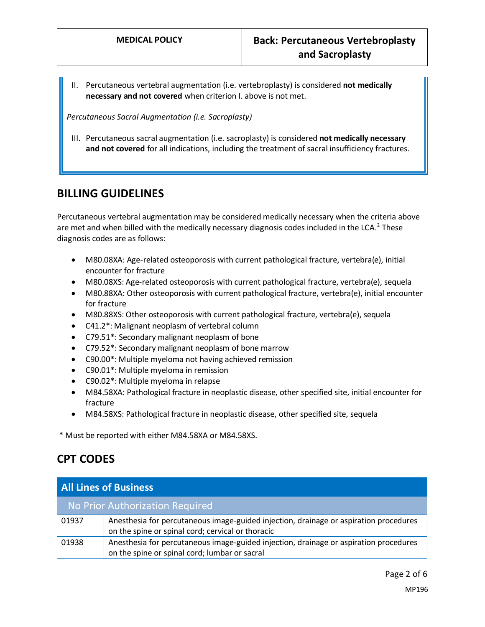II. Percutaneous vertebral augmentation (i.e. vertebroplasty) is considered **not medically necessary and not covered** when criterion I. above is not met.

*Percutaneous Sacral Augmentation (i.e. Sacroplasty)*

III. Percutaneous sacral augmentation (i.e. sacroplasty) is considered **not medically necessary and not covered** for all indications, including the treatment of sacral insufficiency fractures.

### **BILLING GUIDELINES**

Percutaneous vertebral augmentation may be considered medically necessary when the criteria above are met and when billed with the medically necessary diagnosis codes included in the LCA.<sup>2</sup> These diagnosis codes are as follows:

- M80.08XA: Age-related osteoporosis with current pathological fracture, vertebra(e), initial encounter for fracture
- M80.08XS: Age-related osteoporosis with current pathological fracture, vertebra(e), sequela
- M80.88XA: Other osteoporosis with current pathological fracture, vertebra(e), initial encounter for fracture
- M80.88XS: Other osteoporosis with current pathological fracture, vertebra(e), sequela
- C41.2\*: Malignant neoplasm of vertebral column
- C79.51\*: Secondary malignant neoplasm of bone
- C79.52\*: Secondary malignant neoplasm of bone marrow
- C90.00\*: Multiple myeloma not having achieved remission
- C90.01\*: Multiple myeloma in remission
- C90.02\*: Multiple myeloma in relapse
- M84.58XA: Pathological fracture in neoplastic disease, other specified site, initial encounter for fracture
- M84.58XS: Pathological fracture in neoplastic disease, other specified site, sequela

\* Must be reported with either M84.58XA or M84.58XS.

# **CPT CODES**

| <b>All Lines of Business</b> |                                                                                                                                            |
|------------------------------|--------------------------------------------------------------------------------------------------------------------------------------------|
|                              | No Prior Authorization Required                                                                                                            |
| 01937                        | Anesthesia for percutaneous image-guided injection, drainage or aspiration procedures<br>on the spine or spinal cord; cervical or thoracic |
| 01938                        | Anesthesia for percutaneous image-guided injection, drainage or aspiration procedures<br>on the spine or spinal cord; lumbar or sacral     |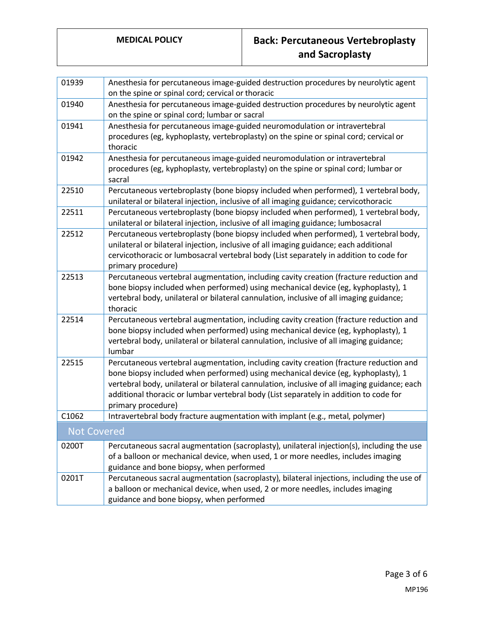# **MEDICAL POLICY Back: Percutaneous Vertebroplasty and Sacroplasty**

| 01939              | Anesthesia for percutaneous image-guided destruction procedures by neurolytic agent<br>on the spine or spinal cord; cervical or thoracic                                                                                                                                                                                                                                                   |
|--------------------|--------------------------------------------------------------------------------------------------------------------------------------------------------------------------------------------------------------------------------------------------------------------------------------------------------------------------------------------------------------------------------------------|
| 01940              | Anesthesia for percutaneous image-guided destruction procedures by neurolytic agent<br>on the spine or spinal cord; lumbar or sacral                                                                                                                                                                                                                                                       |
| 01941              | Anesthesia for percutaneous image-guided neuromodulation or intravertebral<br>procedures (eg, kyphoplasty, vertebroplasty) on the spine or spinal cord; cervical or<br>thoracic                                                                                                                                                                                                            |
| 01942              | Anesthesia for percutaneous image-guided neuromodulation or intravertebral<br>procedures (eg, kyphoplasty, vertebroplasty) on the spine or spinal cord; lumbar or<br>sacral                                                                                                                                                                                                                |
| 22510              | Percutaneous vertebroplasty (bone biopsy included when performed), 1 vertebral body,<br>unilateral or bilateral injection, inclusive of all imaging guidance; cervicothoracic                                                                                                                                                                                                              |
| 22511              | Percutaneous vertebroplasty (bone biopsy included when performed), 1 vertebral body,<br>unilateral or bilateral injection, inclusive of all imaging guidance; lumbosacral                                                                                                                                                                                                                  |
| 22512              | Percutaneous vertebroplasty (bone biopsy included when performed), 1 vertebral body,<br>unilateral or bilateral injection, inclusive of all imaging guidance; each additional<br>cervicothoracic or lumbosacral vertebral body (List separately in addition to code for<br>primary procedure)                                                                                              |
| 22513              | Percutaneous vertebral augmentation, including cavity creation (fracture reduction and<br>bone biopsy included when performed) using mechanical device (eg, kyphoplasty), 1<br>vertebral body, unilateral or bilateral cannulation, inclusive of all imaging guidance;<br>thoracic                                                                                                         |
| 22514              | Percutaneous vertebral augmentation, including cavity creation (fracture reduction and<br>bone biopsy included when performed) using mechanical device (eg, kyphoplasty), 1<br>vertebral body, unilateral or bilateral cannulation, inclusive of all imaging guidance;<br>lumbar                                                                                                           |
| 22515              | Percutaneous vertebral augmentation, including cavity creation (fracture reduction and<br>bone biopsy included when performed) using mechanical device (eg, kyphoplasty), 1<br>vertebral body, unilateral or bilateral cannulation, inclusive of all imaging guidance; each<br>additional thoracic or lumbar vertebral body (List separately in addition to code for<br>primary procedure) |
| C1062              | Intravertebral body fracture augmentation with implant (e.g., metal, polymer)                                                                                                                                                                                                                                                                                                              |
| <b>Not Covered</b> |                                                                                                                                                                                                                                                                                                                                                                                            |
| 0200T              | Percutaneous sacral augmentation (sacroplasty), unilateral injection(s), including the use<br>of a balloon or mechanical device, when used, 1 or more needles, includes imaging<br>guidance and bone biopsy, when performed                                                                                                                                                                |
| 0201T              | Percutaneous sacral augmentation (sacroplasty), bilateral injections, including the use of<br>a balloon or mechanical device, when used, 2 or more needles, includes imaging<br>guidance and bone biopsy, when performed                                                                                                                                                                   |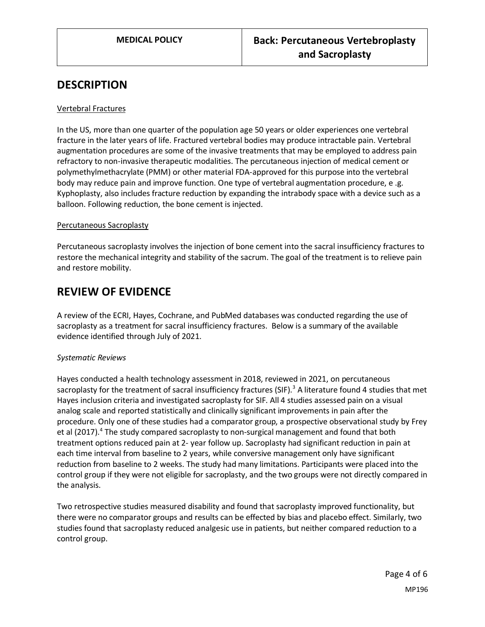### **DESCRIPTION**

#### Vertebral Fractures

In the US, more than one quarter of the population age 50 years or older experiences one vertebral fracture in the later years of life. Fractured vertebral bodies may produce intractable pain. Vertebral augmentation procedures are some of the invasive treatments that may be employed to address pain refractory to non-invasive therapeutic modalities. The percutaneous injection of medical cement or polymethylmethacrylate (PMM) or other material FDA-approved for this purpose into the vertebral body may reduce pain and improve function. One type of vertebral augmentation procedure, e .g. Kyphoplasty, also includes fracture reduction by expanding the intrabody space with a device such as a balloon. Following reduction, the bone cement is injected.

#### Percutaneous Sacroplasty

Percutaneous sacroplasty involves the injection of bone cement into the sacral insufficiency fractures to restore the mechanical integrity and stability of the sacrum. The goal of the treatment is to relieve pain and restore mobility.

### **REVIEW OF EVIDENCE**

A review of the ECRI, Hayes, Cochrane, and PubMed databases was conducted regarding the use of sacroplasty as a treatment for sacral insufficiency fractures. Below is a summary of the available evidence identified through July of 2021.

#### *Systematic Reviews*

Hayes conducted a health technology assessment in 2018, reviewed in 2021, on percutaneous sacroplasty for the treatment of sacral insufficiency fractures (SIF).<sup>3</sup> A literature found 4 studies that met Hayes inclusion criteria and investigated sacroplasty for SIF. All 4 studies assessed pain on a visual analog scale and reported statistically and clinically significant improvements in pain after the procedure. Only one of these studies had a comparator group, a prospective observational study by Frey et al (2017).<sup>4</sup> The study compared sacroplasty to non-surgical management and found that both treatment options reduced pain at 2- year follow up. Sacroplasty had significant reduction in pain at each time interval from baseline to 2 years, while conversive management only have significant reduction from baseline to 2 weeks. The study had many limitations. Participants were placed into the control group if they were not eligible for sacroplasty, and the two groups were not directly compared in the analysis.

Two retrospective studies measured disability and found that sacroplasty improved functionality, but there were no comparator groups and results can be effected by bias and placebo effect. Similarly, two studies found that sacroplasty reduced analgesic use in patients, but neither compared reduction to a control group.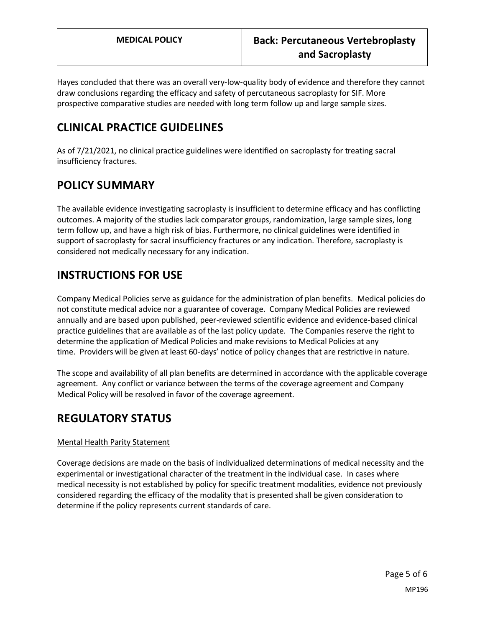Hayes concluded that there was an overall very-low-quality body of evidence and therefore they cannot draw conclusions regarding the efficacy and safety of percutaneous sacroplasty for SIF. More prospective comparative studies are needed with long term follow up and large sample sizes.

# **CLINICAL PRACTICE GUIDELINES**

As of 7/21/2021, no clinical practice guidelines were identified on sacroplasty for treating sacral insufficiency fractures.

# **POLICY SUMMARY**

The available evidence investigating sacroplasty is insufficient to determine efficacy and has conflicting outcomes. A majority of the studies lack comparator groups, randomization, large sample sizes, long term follow up, and have a high risk of bias. Furthermore, no clinical guidelines were identified in support of sacroplasty for sacral insufficiency fractures or any indication. Therefore, sacroplasty is considered not medically necessary for any indication.

# **INSTRUCTIONS FOR USE**

Company Medical Policies serve as guidance for the administration of plan benefits. Medical policies do not constitute medical advice nor a guarantee of coverage. Company Medical Policies are reviewed annually and are based upon published, peer-reviewed scientific evidence and evidence-based clinical practice guidelines that are available as of the last policy update. The Companies reserve the right to determine the application of Medical Policies and make revisions to Medical Policies at any time. Providers will be given at least 60-days' notice of policy changes that are restrictive in nature.

The scope and availability of all plan benefits are determined in accordance with the applicable coverage agreement. Any conflict or variance between the terms of the coverage agreement and Company Medical Policy will be resolved in favor of the coverage agreement.

# **REGULATORY STATUS**

### Mental Health Parity Statement

Coverage decisions are made on the basis of individualized determinations of medical necessity and the experimental or investigational character of the treatment in the individual case. In cases where medical necessity is not established by policy for specific treatment modalities, evidence not previously considered regarding the efficacy of the modality that is presented shall be given consideration to determine if the policy represents current standards of care.